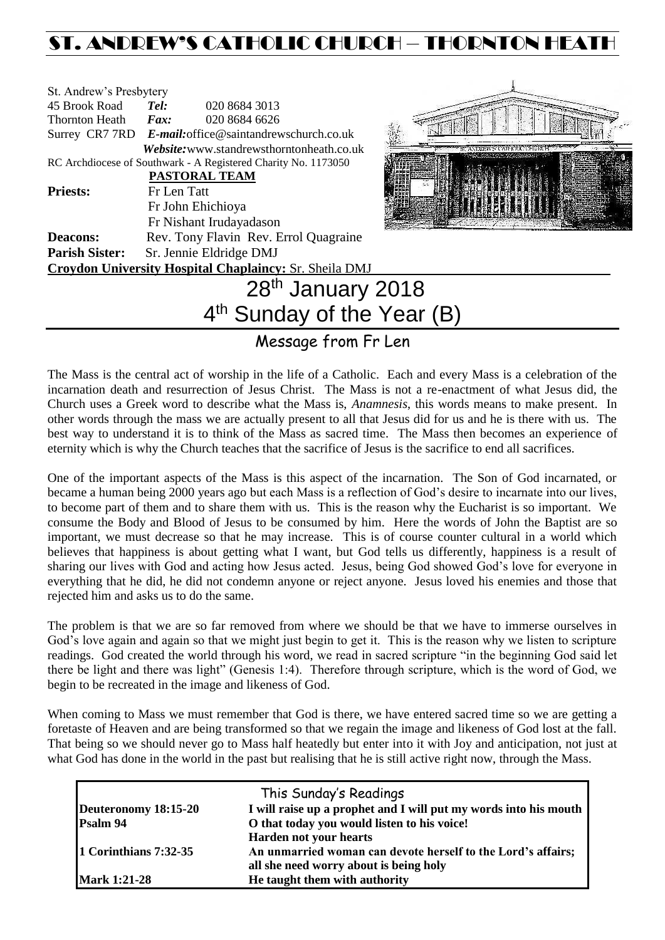# ST. ANDREW'S CATHOLIC CHURCH – THORNTON HEATH

| St. Andrew's Presbytery |                                                                                                                        |  |
|-------------------------|------------------------------------------------------------------------------------------------------------------------|--|
| 45 Brook Road           | 020 8684 3013<br>Tel:                                                                                                  |  |
| Thornton Heath          | 020 8684 6626<br>Fax:                                                                                                  |  |
|                         | Surrey CR7 7RD E-mail: office@saintandrewschurch.co.uk                                                                 |  |
|                         | <i>Website:</i> www.standrewsthorntonheath.co.uk                                                                       |  |
|                         | RC Archdiocese of Southwark - A Registered Charity No. 1173050                                                         |  |
|                         | <b>PASTORAL TEAM</b>                                                                                                   |  |
| <b>Priests:</b>         | Fr Len Tatt                                                                                                            |  |
|                         | Fr John Ehichioya                                                                                                      |  |
|                         | Fr Nishant Irudayadason                                                                                                |  |
| <b>Deacons:</b>         | Rev. Tony Flavin Rev. Errol Quagraine                                                                                  |  |
| <b>Parish Sister:</b>   | Sr. Jennie Eldridge DMJ                                                                                                |  |
|                         | Croydon University Hospital Chaplaincy: Sr. Sheila DMJ                                                                 |  |
|                         | 28th January 2018                                                                                                      |  |
|                         | $\mathbf{A}$ th $\mathbf{C}$ , $\mathbf{A}$ , $\mathbf{A}$ , $\mathbf{A}$ , $\mathbf{A}$ , $\mathbf{A}$ , $\mathbf{A}$ |  |



# 4<sup>th</sup> Sunday of the Year (B)

# Message from Fr Len

The Mass is the central act of worship in the life of a Catholic. Each and every Mass is a celebration of the incarnation death and resurrection of Jesus Christ. The Mass is not a re-enactment of what Jesus did, the Church uses a Greek word to describe what the Mass is, *Anamnesis*, this words means to make present. In other words through the mass we are actually present to all that Jesus did for us and he is there with us. The best way to understand it is to think of the Mass as sacred time. The Mass then becomes an experience of eternity which is why the Church teaches that the sacrifice of Jesus is the sacrifice to end all sacrifices.

One of the important aspects of the Mass is this aspect of the incarnation. The Son of God incarnated, or became a human being 2000 years ago but each Mass is a reflection of God's desire to incarnate into our lives, to become part of them and to share them with us. This is the reason why the Eucharist is so important. We consume the Body and Blood of Jesus to be consumed by him. Here the words of John the Baptist are so important, we must decrease so that he may increase. This is of course counter cultural in a world which believes that happiness is about getting what I want, but God tells us differently, happiness is a result of sharing our lives with God and acting how Jesus acted. Jesus, being God showed God's love for everyone in everything that he did, he did not condemn anyone or reject anyone. Jesus loved his enemies and those that rejected him and asks us to do the same.

The problem is that we are so far removed from where we should be that we have to immerse ourselves in God's love again and again so that we might just begin to get it. This is the reason why we listen to scripture readings. God created the world through his word, we read in sacred scripture "in the beginning God said let there be light and there was light" (Genesis 1:4). Therefore through scripture, which is the word of God, we begin to be recreated in the image and likeness of God.

When coming to Mass we must remember that God is there, we have entered sacred time so we are getting a foretaste of Heaven and are being transformed so that we regain the image and likeness of God lost at the fall. That being so we should never go to Mass half heatedly but enter into it with Joy and anticipation, not just at what God has done in the world in the past but realising that he is still active right now, through the Mass.

|                       | This Sunday's Readings                                           |
|-----------------------|------------------------------------------------------------------|
| Deuteronomy 18:15-20  | I will raise up a prophet and I will put my words into his mouth |
| Psalm 94              | O that today you would listen to his voice!                      |
|                       | <b>Harden not your hearts</b>                                    |
| 1 Corinthians 7:32-35 | An unmarried woman can devote herself to the Lord's affairs;     |
|                       | all she need worry about is being holy                           |
| <b>Mark 1:21-28</b>   | He taught them with authority                                    |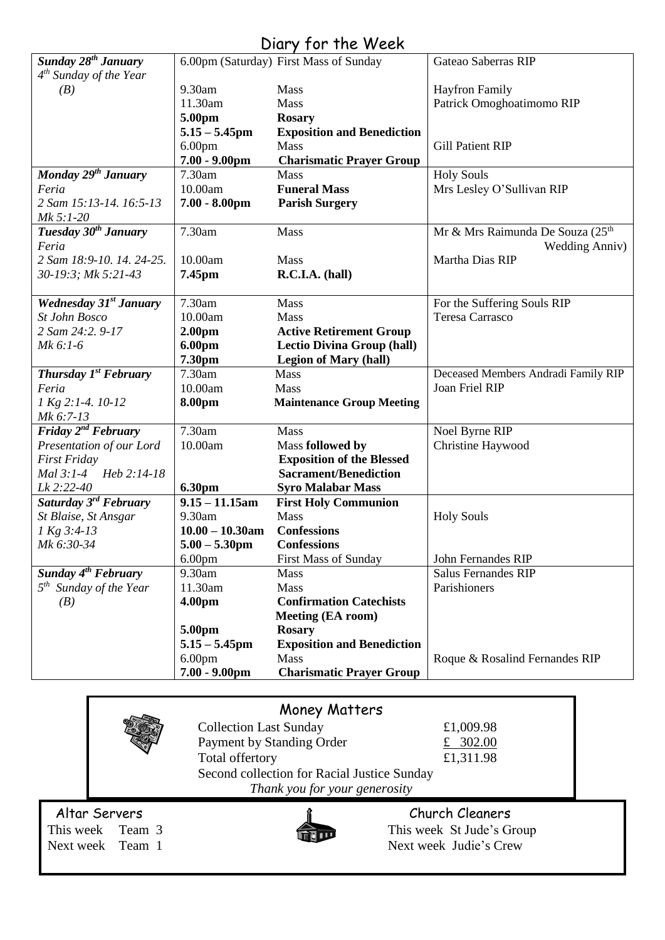# Diary for the Week

| Sunday 28 <sup>th</sup> January    |                    | 6.00pm (Saturday) First Mass of Sunday | Gateao Saberras RIP                                   |
|------------------------------------|--------------------|----------------------------------------|-------------------------------------------------------|
| $4th$ Sunday of the Year           |                    |                                        |                                                       |
| (B)                                | 9.30am             | Mass                                   | <b>Hayfron Family</b>                                 |
|                                    | 11.30am            | Mass                                   | Patrick Omoghoatimomo RIP                             |
|                                    | 5.00pm             | <b>Rosary</b>                          |                                                       |
|                                    | $5.15 - 5.45$ pm   | <b>Exposition and Benediction</b>      |                                                       |
|                                    | 6.00 <sub>pm</sub> | Mass                                   | <b>Gill Patient RIP</b>                               |
|                                    | $7.00 - 9.00$ pm   | <b>Charismatic Prayer Group</b>        |                                                       |
| Monday 29 <sup>th</sup> January    | 7.30am             | Mass                                   | <b>Holy Souls</b>                                     |
| Feria                              | 10.00am            | <b>Funeral Mass</b>                    | Mrs Lesley O'Sullivan RIP                             |
| 2 Sam 15:13-14. 16:5-13            | $7.00 - 8.00$ pm   | <b>Parish Surgery</b>                  |                                                       |
| Mk 5:1-20                          |                    |                                        |                                                       |
| Tuesday 30 <sup>th</sup> January   | 7.30am             | Mass                                   | Mr & Mrs Raimunda De Souza (25 <sup>th</sup> )        |
| Feria                              |                    |                                        | <b>Wedding Anniv)</b>                                 |
| 2 Sam 18:9-10. 14. 24-25.          | 10.00am            | <b>Mass</b>                            | Martha Dias RIP                                       |
| 30-19:3; Mk 5:21-43                | 7.45pm             | R.C.I.A. (hall)                        |                                                       |
|                                    |                    |                                        |                                                       |
| <b>Wednesday 31st January</b>      | 7.30am             | Mass                                   | For the Suffering Souls RIP                           |
| <b>St John Bosco</b>               | 10.00am            | Mass                                   | Teresa Carrasco                                       |
| 2 Sam 24:2. 9-17                   | 2.00 <sub>pm</sub> | <b>Active Retirement Group</b>         |                                                       |
| $Mk$ 6:1-6                         | 6.00pm             | <b>Lectio Divina Group (hall)</b>      |                                                       |
| Thursday 1st February              | 7.30pm<br>7.30am   | <b>Legion of Mary (hall)</b>           |                                                       |
| Feria                              | 10.00am            | Mass<br>Mass                           | Deceased Members Andradi Family RIP<br>Joan Friel RIP |
|                                    |                    |                                        |                                                       |
| $1$ Kg 2:1-4. $10-12$<br>Mk 6:7-13 | 8.00pm             | <b>Maintenance Group Meeting</b>       |                                                       |
| Friday 2 <sup>nd</sup> February    | 7.30am             | Mass                                   | Noel Byrne RIP                                        |
| Presentation of our Lord           | 10.00am            | Mass followed by                       | Christine Haywood                                     |
| <b>First Friday</b>                |                    | <b>Exposition of the Blessed</b>       |                                                       |
| Mal 3:1-4 Heb 2:14-18              |                    | <b>Sacrament/Benediction</b>           |                                                       |
| Lk 2:22-40                         | <b>6.30pm</b>      | <b>Syro Malabar Mass</b>               |                                                       |
| Saturday 3 <sup>rd</sup> February  | $9.15 - 11.15$ am  | <b>First Holy Communion</b>            |                                                       |
| St Blaise, St Ansgar               | 9.30am             | Mass                                   | <b>Holy Souls</b>                                     |
| 1 Kg 3:4-13                        | $10.00 - 10.30$ am | <b>Confessions</b>                     |                                                       |
| Mk 6:30-34                         | $5.00 - 5.30$ pm   | <b>Confessions</b>                     |                                                       |
|                                    | 6.00 <sub>pm</sub> | <b>First Mass of Sunday</b>            | John Fernandes RIP                                    |
| Sunday $4^{th}$ February           | 9.30am             | Mass                                   | <b>Salus Fernandes RIP</b>                            |
| $5th$ Sunday of the Year           | 11.30am            | Mass                                   | Parishioners                                          |
| (B)                                | 4.00pm             | <b>Confirmation Catechists</b>         |                                                       |
|                                    |                    | <b>Meeting (EA room)</b>               |                                                       |
|                                    | 5.00pm             | <b>Rosary</b>                          |                                                       |
|                                    | $5.15 - 5.45$ pm   | <b>Exposition and Benediction</b>      |                                                       |
|                                    | 6.00 <sub>pm</sub> | Mass                                   | Roque & Rosalind Fernandes RIP                        |
|                                    | $7.00 - 9.00$ pm   | <b>Charismatic Prayer Group</b>        |                                                       |
|                                    |                    |                                        |                                                       |

|                  |                               | <b>Money Matters</b>                        |                           |  |
|------------------|-------------------------------|---------------------------------------------|---------------------------|--|
|                  | <b>Collection Last Sunday</b> | £1,009.98                                   |                           |  |
|                  |                               | Payment by Standing Order                   | £ 302.00                  |  |
|                  |                               | Total offertory                             | £1,311.98                 |  |
|                  |                               | Second collection for Racial Justice Sunday |                           |  |
|                  |                               | Thank you for your generosity               |                           |  |
| Altar Servers    |                               |                                             | Church Cleaners           |  |
| This week Team 3 |                               |                                             | This week St Jude's Group |  |
| Next week Team 1 |                               |                                             | Next week Judie's Crew    |  |
|                  |                               |                                             |                           |  |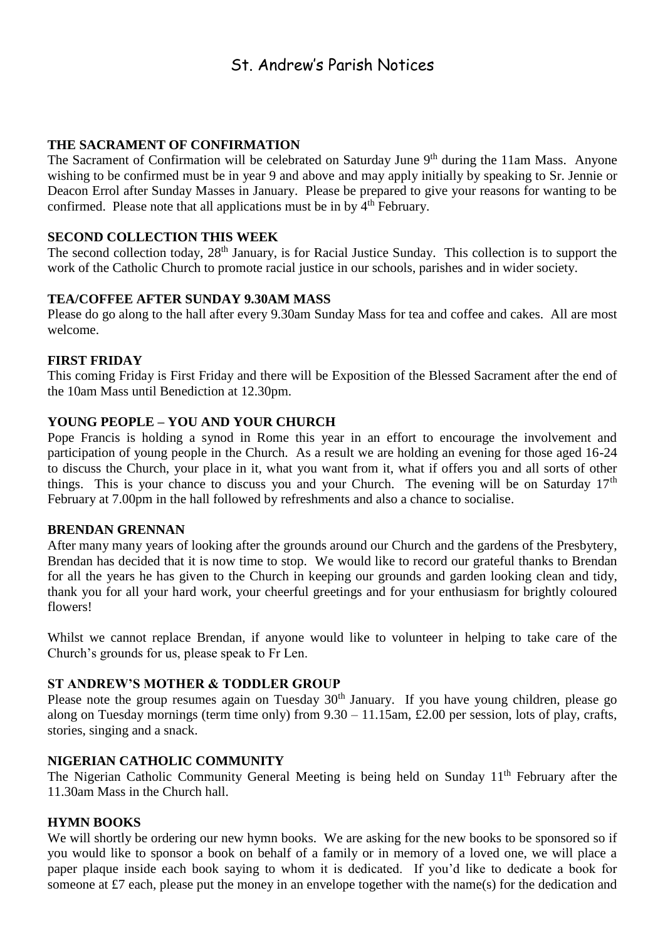# St. Andrew's Parish Notices

# **THE SACRAMENT OF CONFIRMATION**

The Sacrament of Confirmation will be celebrated on Saturday June 9<sup>th</sup> during the 11am Mass. Anyone wishing to be confirmed must be in year 9 and above and may apply initially by speaking to Sr. Jennie or Deacon Errol after Sunday Masses in January. Please be prepared to give your reasons for wanting to be confirmed. Please note that all applications must be in by 4<sup>th</sup> February.

# **SECOND COLLECTION THIS WEEK**

The second collection today, 28<sup>th</sup> January, is for Racial Justice Sunday. This collection is to support the work of the Catholic Church to promote racial justice in our schools, parishes and in wider society.

#### **TEA/COFFEE AFTER SUNDAY 9.30AM MASS**

Please do go along to the hall after every 9.30am Sunday Mass for tea and coffee and cakes. All are most welcome.

### **FIRST FRIDAY**

This coming Friday is First Friday and there will be Exposition of the Blessed Sacrament after the end of the 10am Mass until Benediction at 12.30pm.

# **YOUNG PEOPLE – YOU AND YOUR CHURCH**

Pope Francis is holding a synod in Rome this year in an effort to encourage the involvement and participation of young people in the Church. As a result we are holding an evening for those aged 16-24 to discuss the Church, your place in it, what you want from it, what if offers you and all sorts of other things. This is your chance to discuss you and your Church. The evening will be on Saturday  $17<sup>th</sup>$ February at 7.00pm in the hall followed by refreshments and also a chance to socialise.

#### **BRENDAN GRENNAN**

After many many years of looking after the grounds around our Church and the gardens of the Presbytery, Brendan has decided that it is now time to stop. We would like to record our grateful thanks to Brendan for all the years he has given to the Church in keeping our grounds and garden looking clean and tidy, thank you for all your hard work, your cheerful greetings and for your enthusiasm for brightly coloured flowers!

Whilst we cannot replace Brendan, if anyone would like to volunteer in helping to take care of the Church's grounds for us, please speak to Fr Len.

#### **ST ANDREW'S MOTHER & TODDLER GROUP**

Please note the group resumes again on Tuesday 30<sup>th</sup> January. If you have young children, please go along on Tuesday mornings (term time only) from  $9.30 - 11.15$ am, £2.00 per session, lots of play, crafts, stories, singing and a snack.

# **NIGERIAN CATHOLIC COMMUNITY**

The Nigerian Catholic Community General Meeting is being held on Sunday 11<sup>th</sup> February after the 11.30am Mass in the Church hall.

# **HYMN BOOKS**

We will shortly be ordering our new hymn books. We are asking for the new books to be sponsored so if you would like to sponsor a book on behalf of a family or in memory of a loved one, we will place a paper plaque inside each book saying to whom it is dedicated. If you'd like to dedicate a book for someone at £7 each, please put the money in an envelope together with the name(s) for the dedication and